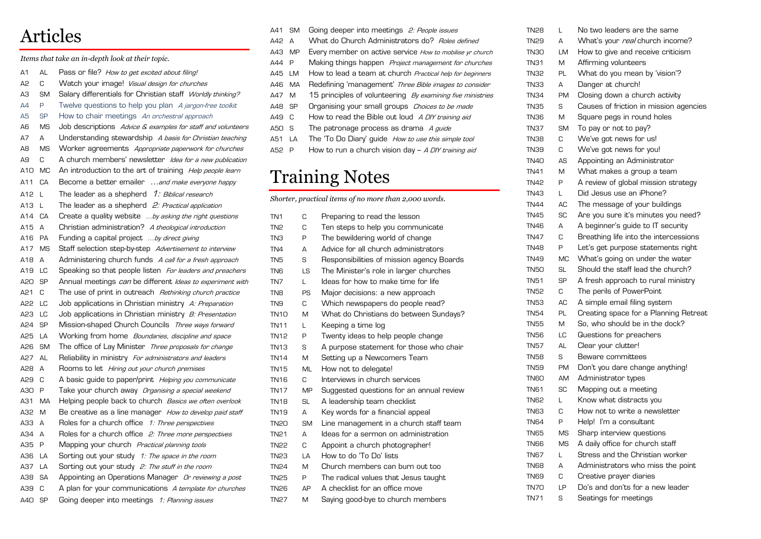## Articles

*Items that take an in-depth look at their topic.* 

- A1 AL Pass or file? How to get excited about filing!
- A2 C Watch your image! Visual design for churches
- A3 SM Salary differentials for Christian staff Worldly thinking?
- A4 P Twelve questions to help you plan A jargon-free toolkit
- A5 SP How to chair meetings An orchestral approach
- A6 MS Job descriptions Advice & examples for staff and volunteers
- A7 A Understanding stewardship A basis for Christian teaching
- A8 MS Worker agreements Appropriate paperwork for churches
- A9 C A church members' newsletter Idea for a new publication
- A10 MC An introduction to the art of training *Help people learn* A11 CA Become a better emailer ...and make everyone happy
- A12 L The leader as a shepherd  $1$ : Biblical research
- A13 L The leader as a shepherd 2: Practical application
- A14 CA Create a quality website ...by asking the right questions A15 A Christian administration? A theological introduction
- A16 PA Funding a capital project ...by direct giving A17 MS Staff selection step-by-step Advertisement to interview A18 A Administering church funds A call for a fresh approach
- A19 LC Speaking so that people listen For leaders and preachers A20 SP Annual meetings can be different Ideas to experiment with
- A21 C The use of print in outreach *Rethinking church practice*
- A22 LC Job applications in Christian ministry A: Preparation
- A23 LC Job applications in Christian ministry *B: Presentation* A24 SP Mission-shaped Church Councils Three ways forward
- A25 LA Working from home *Boundaries, discipline and space*
- A26 SM The office of Lay Minister Three proposals for change
- A27 AL Reliability in ministry For administrators and leaders
- A28 A Rooms to let Hiring out your church premises
- A29 C A basic quide to paper/print *Helping you communicate*
- A30 P Take your church away *Organising a special weekend*
- A31 MA Helping people back to church Basics we often overlook
- A32 M Be creative as a line manager *How to develop paid staff* A33 A Roles for a church office 1: Three perspectives
- A34 A Roles for a church office 2: Three more perspectives
- A35 P Mapping your church *Practical planning tools*
- A36 LA Sorting out your study 1: The space in the room
- A37 LA Sorting out your study 2: The stuff in the room
- A38 SA Appointing an Operations Manager Or reviewing a post
- A39 C A plan for your communications A template for churches
- A40 SP Going deeper into meetings 1: Planning issues
- A41 SM Going deeper into meetings 2: People issues
- A42 A What do Church Administrators do? Roles defined
- A43 MP Every member on active service How to mobilise yr church
- A44 P Making things happen *Project management for churches*
- A45 LM How to lead a team at church *Practical help for beginners*
- A46 MA Redefining 'management' Three Bible images to consider
- A47 M 15 principles of volunteering *By examining five ministries*
- A48 SP Organising your small groups Choices to be made A49 C How to read the Bible out loud A DIY training aid
- A50 S The patronage process as drama A guide
- A51 LA The 'To Do Diary' guide How to use this simple tool
- A52 P How to run a church vision day  $-$  A DIY training aid

## Training Notes

*Shorter, practical items of no more than 2,000 words.*

| TN <sub>1</sub>  | C            | Preparing to read the lesson              |
|------------------|--------------|-------------------------------------------|
| TN <sub>2</sub>  | C            | Ten steps to help you communicate         |
| TNЗ              | P            | The bewildering world of change           |
| TN4              | А            | Advice for all church administrators      |
| TN5              | S            | Responsibilities of mission agency Boards |
| TN6              | LS           | The Minister's role in larger churches    |
| TN7              | $\mathbf{L}$ | Ideas for how to make time for life       |
| TN8              | PS           | Major decisions: a new approach           |
| TN9              | C            | Which newspapers do people read?          |
| TN <sub>10</sub> | M            | What do Christians do between Sundays?    |
| TN11             | L            | Keeping a time log                        |
| TN12             | P            | Twenty ideas to help people change        |
| TN13             | S            | A purpose statement for those who chair   |
| TN14             | M            | Setting up a Newcomers Team               |
| TN15             | <b>ML</b>    | How not to delegate!                      |
| TN16             | C.           | Interviews in church services             |
| TN17             | <b>MP</b>    | Suggested questions for an annual review  |
| TN18             | <b>SL</b>    | A leadership team checklist               |
| TN19             | А            | Key words for a financial appeal          |
| <b>TN20</b>      | <b>SM</b>    | Line management in a church staff team    |
| TN21             | Δ            | Ideas for a sermon on administration      |
| <b>TN22</b>      | C            | Appoint a church photographer!            |
| TN23             | LA           | How to do 'To Do' lists                   |
| TN <sub>24</sub> | M            | Church members can burn out too           |
| <b>TN25</b>      | P            | The radical values that Jesus taught      |
| TN <sub>26</sub> | AΡ           | A checklist for an office move            |
| TN27             | M            | Saying good-bye to church members         |

| TN28        | L         | No two leaders are the same            |
|-------------|-----------|----------------------------------------|
| TN29        | А         | What's your real church income?        |
| TN3O        | LМ        | How to give and receive criticism      |
| TN31        | M         | Affirming volunteers                   |
| TN32        | PL        | What do you mean by 'vision'?          |
| TN33        | А         | Danger at church!                      |
| <b>TN34</b> | PM        | Closing down a church activity         |
| <b>TN35</b> | S         | Causes of friction in mission agencies |
| <b>TN36</b> | M         | Square pegs in round holes             |
| <b>TN37</b> | SM        | To pay or not to pay?                  |
| TN38        | C         | We've got news for us!                 |
| TN39        | C         | We've got news for you!                |
| <b>TN40</b> | AS        | Appointing an Administrator            |
| <b>TN41</b> | M         | What makes a group a team              |
| <b>TN42</b> | P         | A review of global mission strategy    |
| <b>TN43</b> | L         | Did Jesus use an iPhone?               |
| <b>TN44</b> | AC        | The message of your buildings          |
| <b>TN45</b> | SC        | Are you sure it's minutes you need?    |
| <b>TN46</b> | А         | A beginner's guide to IT security      |
| <b>TN47</b> | C         | Breathing life into the intercessions  |
| <b>TN48</b> | P         | Let's get purpose statements right     |
| <b>TN49</b> | <b>MC</b> | What's going on under the water        |
| <b>TN50</b> | SL        | Should the staff lead the church?      |
| <b>TN51</b> | SP        | A fresh approach to rural ministry     |
| <b>TN52</b> | C         | The perils of PowerPoint               |
| <b>TN53</b> | AC        | A simple email filing system           |
| <b>TN54</b> | PL        | Creating space for a Planning Retreat  |
| <b>TN55</b> | M         | So, who should be in the dock?         |
| <b>TN56</b> | LC        | Questions for preachers                |
| <b>TN57</b> | AL        | Clear your clutter!                    |
| TN58        | S         | Beware committees                      |
| TN59        | PM        | Don't you dare change anything!        |
| TN60        | <b>AM</b> | Administrator types                    |
| TN61        | SC        | Mapping out a meeting                  |
| TN62        | L         | Know what distracts you                |
| TN63        | C         | How not to write a newsletter          |
| <b>TN64</b> | P         | Help! I'm a consultant                 |
| <b>TN65</b> | MS        | Sharp interview questions              |
| TN66        | MS        | A daily office for church staff        |
| TN67        | L         | Stress and the Christian worker        |
| <b>TN68</b> | А         | Administrators who miss the point      |
| TN69        | C         | Creative prayer diaries                |
| TN7O        | LΡ        | Do's and don'ts for a new leader       |
| TN71        | S         | Seatings for meetings                  |
|             |           |                                        |